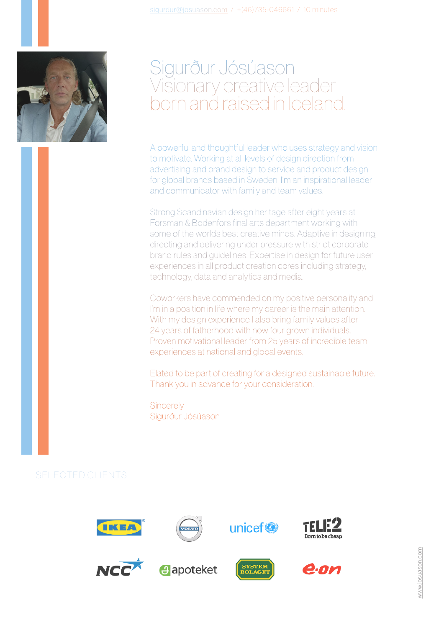

## Sigurður Jósúason Visionary creative leader born and raised in Iceland.

A powerful and thoughtful leader who uses strategy and vision to motivate. Working at all levels of design direction from advertising and brand design to service and product design for global brands based in Sweden. I'm an inspirational leader and communicator with family and team values.

Strong Scandinavian design heritage after eight years at Forsman & Bodenfors final arts department working with some of the worlds best creative minds. Adaptive in designing, directing and delivering under pressure with strict corporate brand rules and guidelines. Expertise in design for future user experiences in all product creation cores including strategy, technology, data and analytics and media.

Coworkers have commended on my positive personality and I'm in a position in life where my career is the main attention. With my design experience I also bring family values after 24 years of fatherhood with now four grown individuals. Proven motivational leader from 25 years of incredible team experiences at national and global events.

Elated to be part of creating for a designed sustainable future. Thank you in advance for your consideration.

**Sincerely** Sigurður Jósúason